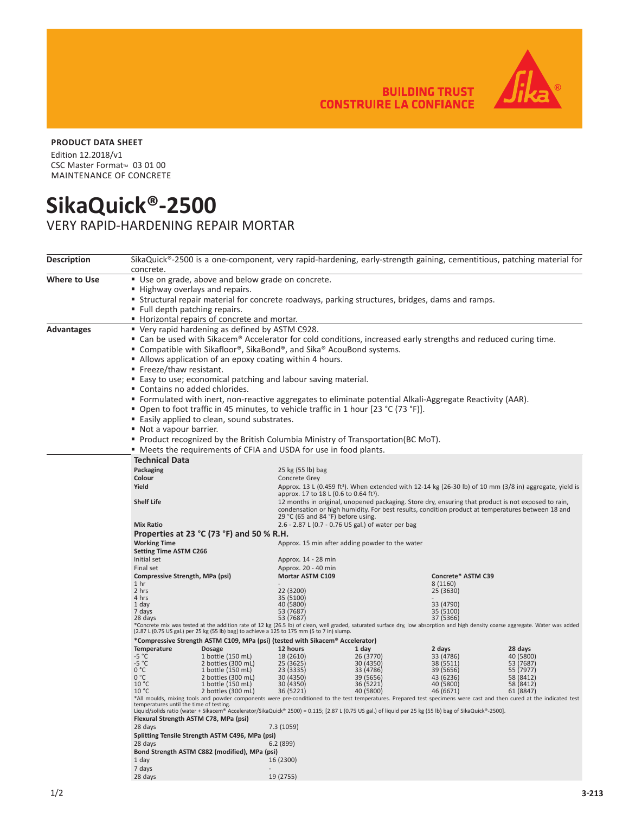**BUILDING TRUST<br>CONSTRUIRE LA CONFIANCE** 



## **PRODUCT DATA SHEET**

Edition 12.2018/v1 CSC Master Format™ 03 01 00 MAINTENANCE OF CONCRETE

## **SikaQuick®-2500**

VERY RAPID-HARDENING REPAIR MORTAR

| <b>Description</b> | SikaQuick®-2500 is a one-component, very rapid-hardening, early-strength gaining, cementitious, patching material for                                                                                                                                                           |                                                                |                                            |                                                                                                                                                                                                          |                                                                                                                     |                        |  |  |  |
|--------------------|---------------------------------------------------------------------------------------------------------------------------------------------------------------------------------------------------------------------------------------------------------------------------------|----------------------------------------------------------------|--------------------------------------------|----------------------------------------------------------------------------------------------------------------------------------------------------------------------------------------------------------|---------------------------------------------------------------------------------------------------------------------|------------------------|--|--|--|
|                    | concrete.                                                                                                                                                                                                                                                                       |                                                                |                                            |                                                                                                                                                                                                          |                                                                                                                     |                        |  |  |  |
| Where to Use       | " Use on grade, above and below grade on concrete.                                                                                                                                                                                                                              |                                                                |                                            |                                                                                                                                                                                                          |                                                                                                                     |                        |  |  |  |
|                    | ■ Highway overlays and repairs.                                                                                                                                                                                                                                                 |                                                                |                                            |                                                                                                                                                                                                          |                                                                                                                     |                        |  |  |  |
|                    | <b>EXECUTE:</b> Structural repair material for concrete roadways, parking structures, bridges, dams and ramps.                                                                                                                                                                  |                                                                |                                            |                                                                                                                                                                                                          |                                                                                                                     |                        |  |  |  |
|                    | " Full depth patching repairs.                                                                                                                                                                                                                                                  |                                                                |                                            |                                                                                                                                                                                                          |                                                                                                                     |                        |  |  |  |
|                    | Horizontal repairs of concrete and mortar.                                                                                                                                                                                                                                      |                                                                |                                            |                                                                                                                                                                                                          |                                                                                                                     |                        |  |  |  |
| Advantages         | " Very rapid hardening as defined by ASTM C928.                                                                                                                                                                                                                                 |                                                                |                                            |                                                                                                                                                                                                          |                                                                                                                     |                        |  |  |  |
|                    | " Can be used with Sikacem® Accelerator for cold conditions, increased early strengths and reduced curing time.                                                                                                                                                                 |                                                                |                                            |                                                                                                                                                                                                          |                                                                                                                     |                        |  |  |  |
|                    | ■ Compatible with Sikafloor®, SikaBond®, and Sika® AcouBond systems.                                                                                                                                                                                                            |                                                                |                                            |                                                                                                                                                                                                          |                                                                                                                     |                        |  |  |  |
|                    | Allows application of an epoxy coating within 4 hours.                                                                                                                                                                                                                          |                                                                |                                            |                                                                                                                                                                                                          |                                                                                                                     |                        |  |  |  |
|                    | ■ Freeze/thaw resistant.                                                                                                                                                                                                                                                        |                                                                |                                            |                                                                                                                                                                                                          |                                                                                                                     |                        |  |  |  |
|                    |                                                                                                                                                                                                                                                                                 | ■ Easy to use; economical patching and labour saving material. |                                            |                                                                                                                                                                                                          |                                                                                                                     |                        |  |  |  |
|                    |                                                                                                                                                                                                                                                                                 | " Contains no added chlorides.                                 |                                            |                                                                                                                                                                                                          |                                                                                                                     |                        |  |  |  |
|                    | ■ Formulated with inert, non-reactive aggregates to eliminate potential Alkali-Aggregate Reactivity (AAR).                                                                                                                                                                      |                                                                |                                            |                                                                                                                                                                                                          |                                                                                                                     |                        |  |  |  |
|                    | ■ Open to foot traffic in 45 minutes, to vehicle traffic in 1 hour [23 °C (73 °F)].                                                                                                                                                                                             |                                                                |                                            |                                                                                                                                                                                                          |                                                                                                                     |                        |  |  |  |
|                    | ■ Easily applied to clean, sound substrates.                                                                                                                                                                                                                                    |                                                                |                                            |                                                                                                                                                                                                          |                                                                                                                     |                        |  |  |  |
|                    | Not a vapour barrier.                                                                                                                                                                                                                                                           |                                                                |                                            |                                                                                                                                                                                                          |                                                                                                                     |                        |  |  |  |
|                    | <b>Product recognized by the British Columbia Ministry of Transportation (BC MoT).</b>                                                                                                                                                                                          |                                                                |                                            |                                                                                                                                                                                                          |                                                                                                                     |                        |  |  |  |
|                    | " Meets the requirements of CFIA and USDA for use in food plants.                                                                                                                                                                                                               |                                                                |                                            |                                                                                                                                                                                                          |                                                                                                                     |                        |  |  |  |
|                    | <b>Technical Data</b>                                                                                                                                                                                                                                                           |                                                                |                                            |                                                                                                                                                                                                          |                                                                                                                     |                        |  |  |  |
|                    | Packaging                                                                                                                                                                                                                                                                       |                                                                | 25 kg (55 lb) bag                          |                                                                                                                                                                                                          |                                                                                                                     |                        |  |  |  |
|                    | Colour                                                                                                                                                                                                                                                                          |                                                                | Concrete Grey                              |                                                                                                                                                                                                          |                                                                                                                     |                        |  |  |  |
|                    | Yield                                                                                                                                                                                                                                                                           |                                                                |                                            |                                                                                                                                                                                                          | Approx. 13 L (0.459 ft <sup>3</sup> ). When extended with 12-14 kg (26-30 lb) of 10 mm (3/8 in) aggregate, yield is |                        |  |  |  |
|                    |                                                                                                                                                                                                                                                                                 |                                                                |                                            | approx. 17 to 18 L (0.6 to 0.64 ft <sup>3</sup> ).                                                                                                                                                       |                                                                                                                     |                        |  |  |  |
|                    | <b>Shelf Life</b>                                                                                                                                                                                                                                                               |                                                                |                                            | 12 months in original, unopened packaging. Store dry, ensuring that product is not exposed to rain,<br>condensation or high humidity. For best results, condition product at temperatures between 18 and |                                                                                                                     |                        |  |  |  |
|                    | 29 °C (65 and 84 °F) before using.                                                                                                                                                                                                                                              |                                                                |                                            |                                                                                                                                                                                                          |                                                                                                                     |                        |  |  |  |
|                    | <b>Mix Ratio</b><br>2.6 - 2.87 L (0.7 - 0.76 US gal.) of water per bag                                                                                                                                                                                                          |                                                                |                                            |                                                                                                                                                                                                          |                                                                                                                     |                        |  |  |  |
|                    | Properties at 23 $^{\circ}$ C (73 $^{\circ}$ F) and 50 % R.H.                                                                                                                                                                                                                   |                                                                |                                            |                                                                                                                                                                                                          |                                                                                                                     |                        |  |  |  |
|                    | <b>Working Time</b><br>Approx. 15 min after adding powder to the water                                                                                                                                                                                                          |                                                                |                                            |                                                                                                                                                                                                          |                                                                                                                     |                        |  |  |  |
|                    | <b>Setting Time ASTM C266</b>                                                                                                                                                                                                                                                   |                                                                |                                            |                                                                                                                                                                                                          |                                                                                                                     |                        |  |  |  |
|                    | Initial set<br>Final set                                                                                                                                                                                                                                                        |                                                                | Approx. 14 - 28 min<br>Approx. 20 - 40 min |                                                                                                                                                                                                          |                                                                                                                     |                        |  |  |  |
|                    | Compressive Strength, MPa (psi)                                                                                                                                                                                                                                                 |                                                                | Mortar ASTM C109                           |                                                                                                                                                                                                          | Concrete* ASTM C39                                                                                                  |                        |  |  |  |
|                    | 1 <sub>hr</sub>                                                                                                                                                                                                                                                                 |                                                                |                                            |                                                                                                                                                                                                          | 8 (1160)                                                                                                            |                        |  |  |  |
|                    | 2 hrs                                                                                                                                                                                                                                                                           |                                                                | 22 (3200)                                  |                                                                                                                                                                                                          | 25 (3630)                                                                                                           |                        |  |  |  |
|                    | 4 hrs<br>1 day                                                                                                                                                                                                                                                                  |                                                                | 35 (5100)<br>40 (5800)                     |                                                                                                                                                                                                          | 33 (4790)                                                                                                           |                        |  |  |  |
|                    | 7 days                                                                                                                                                                                                                                                                          |                                                                | 53 (7687)                                  |                                                                                                                                                                                                          | 35 (5100)                                                                                                           |                        |  |  |  |
|                    | 28 days                                                                                                                                                                                                                                                                         |                                                                | 53 (7687)                                  |                                                                                                                                                                                                          | 37 (5366)                                                                                                           |                        |  |  |  |
|                    | *Concrete mix was tested at the addition rate of 12 kg (26.5 lb) of clean, well graded, saturated surface dry, low absorption and high density coarse aggregate. Water was added<br>[2.87 L (0.75 US gal.) per 25 kg (55 lb) bag] to achieve a 125 to 175 mm (5 to 7 in) slump. |                                                                |                                            |                                                                                                                                                                                                          |                                                                                                                     |                        |  |  |  |
|                    | *Compressive Strength ASTM C109, MPa (psi) (tested with Sikacem® Accelerator)                                                                                                                                                                                                   |                                                                |                                            |                                                                                                                                                                                                          |                                                                                                                     |                        |  |  |  |
|                    | Temperature                                                                                                                                                                                                                                                                     | <b>Dosage</b>                                                  | 12 hours                                   | 1 day                                                                                                                                                                                                    | 2 days                                                                                                              | 28 days                |  |  |  |
|                    | $-5 °C$<br>$-5 °C$                                                                                                                                                                                                                                                              | 1 bottle (150 mL)<br>2 bottles (300 mL)                        | 18 (2610)<br>25 (3625)                     | 26 (3770)<br>30 (4350)                                                                                                                                                                                   | 33 (4786)<br>38 (5511)                                                                                              | 40 (5800)<br>53 (7687) |  |  |  |
|                    | 0 °C                                                                                                                                                                                                                                                                            | 1 bottle (150 mL)                                              | 23 (3335)                                  | 33 (4786)                                                                                                                                                                                                | 39 (5656)                                                                                                           | 55 (7977)              |  |  |  |
|                    | 0 °C<br>10 °C                                                                                                                                                                                                                                                                   | 2 bottles (300 mL)<br>1 bottle (150 mL)                        | 30 (4350)<br>30 (4350)                     | 39 (5656)<br>36 (5221)                                                                                                                                                                                   | 43 (6236)<br>40 (5800)                                                                                              | 58 (8412)<br>58 (8412) |  |  |  |
|                    | 10 °C                                                                                                                                                                                                                                                                           | 2 bottles (300 mL)                                             | 36 (5221)                                  | 40 (5800)                                                                                                                                                                                                | 46 (6671)                                                                                                           | 61 (8847)              |  |  |  |
|                    | *All moulds, mixing tools and powder components were pre-conditioned to the test temperatures. Prepared test specimens were cast and then cured at the indicated test                                                                                                           |                                                                |                                            |                                                                                                                                                                                                          |                                                                                                                     |                        |  |  |  |
|                    | temperatures until the time of testing.<br>Liquid/solids ratio (water + Sikacem® Accelerator/SikaQuick® 2500) = 0.115; [2.87 L (0.75 US gal.) of liquid per 25 kg (55 lb) bag of SikaQuick®-2500].                                                                              |                                                                |                                            |                                                                                                                                                                                                          |                                                                                                                     |                        |  |  |  |
|                    | Flexural Strength ASTM C78, MPa (psi)                                                                                                                                                                                                                                           |                                                                |                                            |                                                                                                                                                                                                          |                                                                                                                     |                        |  |  |  |
|                    | 28 days<br>7.3 (1059)                                                                                                                                                                                                                                                           |                                                                |                                            |                                                                                                                                                                                                          |                                                                                                                     |                        |  |  |  |
|                    | Splitting Tensile Strength ASTM C496, MPa (psi)                                                                                                                                                                                                                                 |                                                                |                                            |                                                                                                                                                                                                          |                                                                                                                     |                        |  |  |  |
|                    | 28 days<br>6.2(899)<br>Bond Strength ASTM C882 (modified), MPa (psi)                                                                                                                                                                                                            |                                                                |                                            |                                                                                                                                                                                                          |                                                                                                                     |                        |  |  |  |
|                    | 1 day<br>16 (2300)                                                                                                                                                                                                                                                              |                                                                |                                            |                                                                                                                                                                                                          |                                                                                                                     |                        |  |  |  |
|                    | 7 days                                                                                                                                                                                                                                                                          |                                                                |                                            |                                                                                                                                                                                                          |                                                                                                                     |                        |  |  |  |
|                    | 28 days                                                                                                                                                                                                                                                                         |                                                                | 19 (2755)                                  |                                                                                                                                                                                                          |                                                                                                                     |                        |  |  |  |